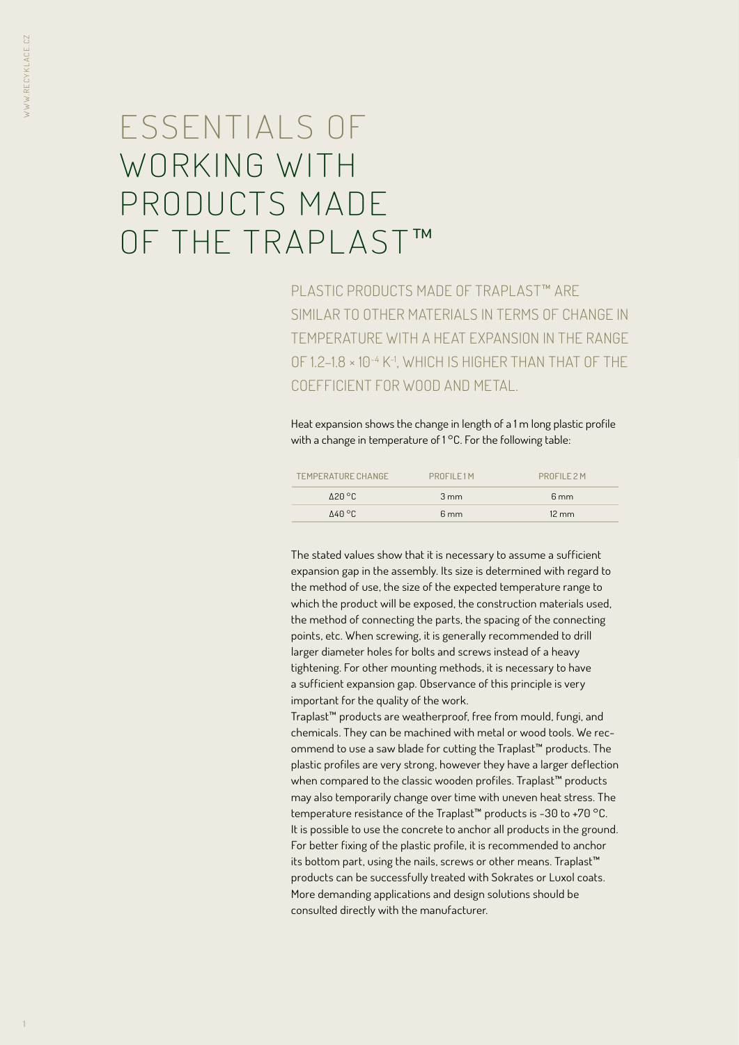# ESSENTIALS OF WORKING WITH PRODUCTS MADE OF THE TRAPLAST™

PLASTIC PRODUCTS MADE OF TRAPLAST™ ARE SIMILAR TO OTHER MATERIALS IN TERMS OF CHANGE IN TEMPERATURE WITH A HEAT EXPANSION IN THE RANGE OF 1.2–1.8 × 10-4 K-1, WHICH IS HIGHER THAN THAT OF THE COEFFICIENT FOR WOOD AND METAL.

Heat expansion shows the change in length of a 1 m long plastic profile with a change in temperature of 1°C. For the following table:

| TEMPERATURE CHANGE         | PROFIL F1M     | PROFILE 2 M     |
|----------------------------|----------------|-----------------|
| $\Lambda$ 20 °C.           | $3 \text{ mm}$ | $6 \text{ mm}$  |
| $\Lambda$ <sub>40</sub> °C | $6 \text{ mm}$ | $12 \text{ mm}$ |

The stated values show that it is necessary to assume a sufficient expansion gap in the assembly. Its size is determined with regard to the method of use, the size of the expected temperature range to which the product will be exposed, the construction materials used, the method of connecting the parts, the spacing of the connecting points, etc. When screwing, it is generally recommended to drill larger diameter holes for bolts and screws instead of a heavy tightening. For other mounting methods, it is necessary to have a sufficient expansion gap. Observance of this principle is very important for the quality of the work.

Traplast™ products are weatherproof, free from mould, fungi, and chemicals. They can be machined with metal or wood tools. We recommend to use a saw blade for cutting the Traplast™ products. The plastic profiles are very strong, however they have a larger deflection when compared to the classic wooden profiles. Traplast™ products may also temporarily change over time with uneven heat stress. The temperature resistance of the Traplast™ products is -30 to +70 °C. It is possible to use the concrete to anchor all products in the ground. For better fixing of the plastic profile, it is recommended to anchor its bottom part, using the nails, screws or other means. Traplast™ products can be successfully treated with Sokrates or Luxol coats. More demanding applications and design solutions should be consulted directly with the manufacturer.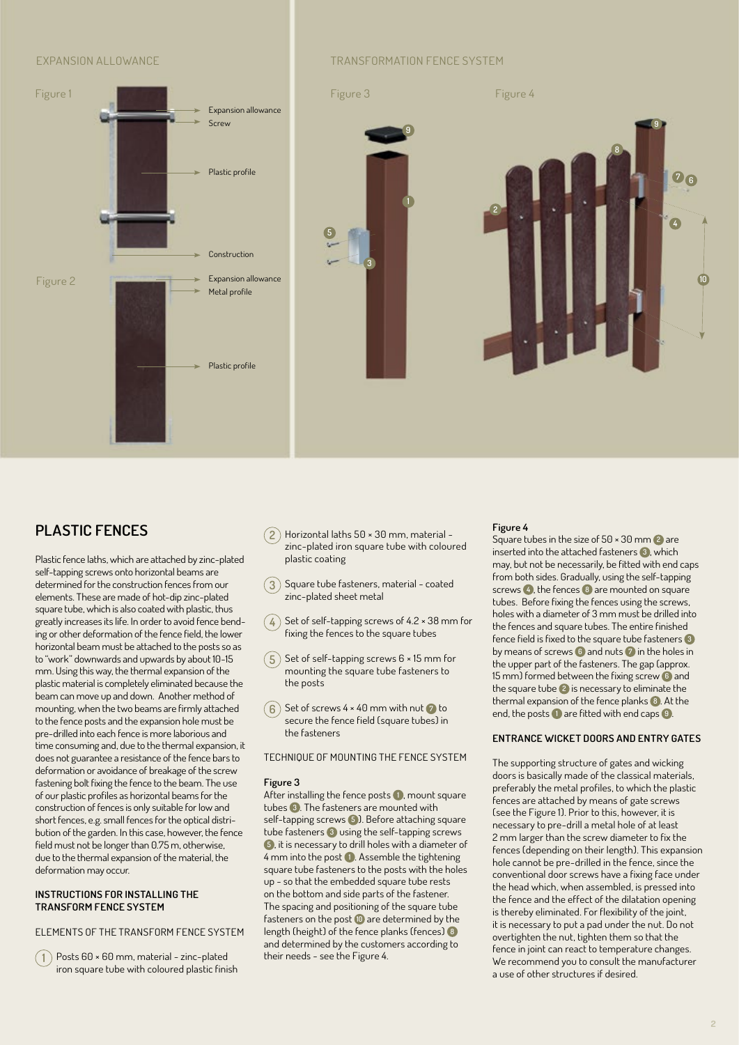

## EXPANSION ALLOWANCE **TRANSFORMATION FENCE SYSTEM**



# **PLASTIC FENCES**

Plastic fence laths, which are attached by zinc-plated self-tapping screws onto horizontal beams are determined for the construction fences from our elements. These are made of hot-dip zinc-plated square tube, which is also coated with plastic, thus greatly increases its life. In order to avoid fence bending or other deformation of the fence field, the lower horizontal beam must be attached to the posts so as to "work" downwards and upwards by about 10-15 mm. Using this way, the thermal expansion of the plastic material is completely eliminated because the beam can move up and down. Another method of mounting, when the two beams are firmly attached to the fence posts and the expansion hole must be pre-drilled into each fence is more laborious and time consuming and, due to the thermal expansion, it does not guarantee a resistance of the fence bars to deformation or avoidance of breakage of the screw fastening bolt fixing the fence to the beam. The use of our plastic profiles as horizontal beams for the construction of fences is only suitable for low and short fences, e.g. small fences for the optical distribution of the garden. In this case, however, the fence field must not be longer than 0.75 m, otherwise, due to the thermal expansion of the material, the deformation may occur.

#### **INSTRUCTIONS FOR INSTALLING THE TRANSFORM FENCE SYSTEM**

### ELEMENTS OF THE TRANSFORM FENCE SYSTEM

**1** Posts 60 × 60 mm, material - zinc-plated iron square tube with coloured plastic finish

- **2** Horizontal laths 50 × 30 mm, material zinc-plated iron square tube with coloured plastic coating
- **3** Square tube fasteners, material coated zinc-plated sheet metal
- **4** Set of self-tapping screws of 4.2 × 38 mm for fixing the fences to the square tubes
- $(5)$  Set of self-tapping screws  $6 \times 15$  mm for mounting the square tube fasteners to the posts
- **6** Set of screws 4 × 40 mm with nut **7** to secure the fence field (square tubes) in the fasteners

#### TECHNIQUE OF MOUNTING THE FENCE SYSTEM

#### **Figure 3**

After installing the fence posts **<sup>1</sup>** , mount square tubes **<sup>3</sup>** . The fasteners are mounted with self-tapping screws **<sup>5</sup>** ). Before attaching square tube fasteners **3** using the self-tapping screws **<sup>5</sup>** , it is necessary to drill holes with a diameter of 4 mm into the post **<sup>1</sup>** . Assemble the tightening square tube fasteners to the posts with the holes up - so that the embedded square tube rests on the bottom and side parts of the fastener. The spacing and positioning of the square tube fasteners on the post **<sup>10</sup>** are determined by the length (height) of the fence planks (fences) **<sup>8</sup>** and determined by the customers according to their needs - see the Figure 4.

#### **Figure 4**

Square tubes in the size of 50 × 30 mm **2** are inserted into the attached fasteners **<sup>3</sup>** , which may, but not be necessarily, be fitted with end caps from both sides. Gradually, using the self-tapping screws **<sup>4</sup>** , the fences **8** are mounted on square tubes. Before fixing the fences using the screws, holes with a diameter of 3 mm must be drilled into the fences and square tubes. The entire finished fence field is fixed to the square tube fasteners **<sup>3</sup>** by means of screws **6** and nuts **7** in the holes in the upper part of the fasteners. The gap (approx. 15 mm) formed between the fixing screw **6** and the square tube **2** is necessary to eliminate the thermal expansion of the fence planks **<sup>8</sup>** . At the end, the posts **1** are fitted with end caps **<sup>9</sup>** .

#### **ENTRANCE WICKET DOORS AND ENTRY GATES**

The supporting structure of gates and wicking doors is basically made of the classical materials, preferably the metal profiles, to which the plastic fences are attached by means of gate screws (see the Figure 1). Prior to this, however, it is necessary to pre-drill a metal hole of at least 2 mm larger than the screw diameter to fix the fences (depending on their length). This expansion hole cannot be pre-drilled in the fence, since the conventional door screws have a fixing face under the head which, when assembled, is pressed into the fence and the effect of the dilatation opening is thereby eliminated. For flexibility of the joint, it is necessary to put a pad under the nut. Do not overtighten the nut, tighten them so that the fence in joint can react to temperature changes. We recommend you to consult the manufacturer a use of other structures if desired.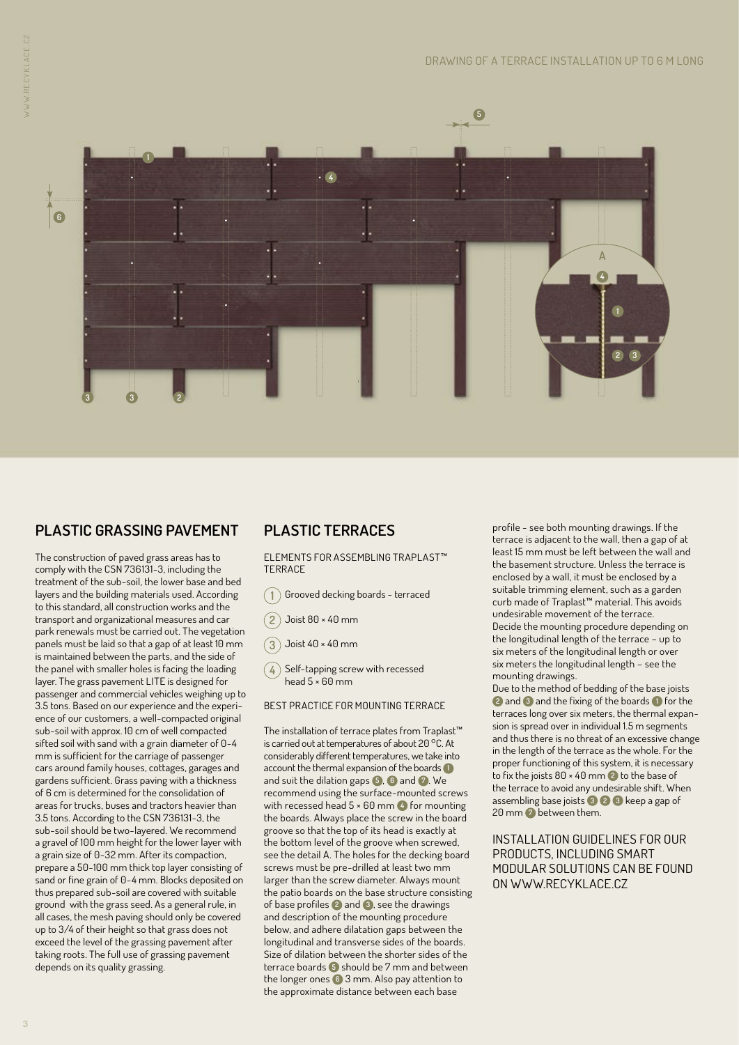

# **PLASTIC GRASSING PAVEMENT**

The construction of paved grass areas has to comply with the CSN 736131-3, including the treatment of the sub-soil, the lower base and bed layers and the building materials used. According to this standard, all construction works and the transport and organizational measures and car park renewals must be carried out. The vegetation panels must be laid so that a gap of at least 10 mm is maintained between the parts, and the side of the panel with smaller holes is facing the loading layer. The grass pavement LITE is designed for passenger and commercial vehicles weighing up to 3.5 tons. Based on our experience and the experience of our customers, a well-compacted original sub-soil with approx. 10 cm of well compacted sifted soil with sand with a grain diameter of 0-4 mm is sufficient for the carriage of passenger cars around family houses, cottages, garages and gardens sufficient. Grass paving with a thickness of 6 cm is determined for the consolidation of areas for trucks, buses and tractors heavier than 3.5 tons. According to the CSN 736131-3, the sub-soil should be two-layered. We recommend a gravel of 100 mm height for the lower layer with a grain size of 0-32 mm. After its compaction, prepare a 50-100 mm thick top layer consisting of sand or fine grain of 0-4 mm. Blocks deposited on thus prepared sub-soil are covered with suitable ground with the grass seed. As a general rule, in all cases, the mesh paving should only be covered up to 3/4 of their height so that grass does not exceed the level of the grassing pavement after taking roots. The full use of grassing pavement depends on its quality grassing.

# **PLASTIC TERRACES**

ELEMENTS FOR ASSEMBLING TRAPLAST™ **TERRACE** 

- $\left(\begin{smallmatrix}1\1\end{smallmatrix}\right)$  Grooved decking boards terraced
- **2** Joist 80 × 40 mm
- **3** Joist 40 × 40 mm
- $\left(\,\mathbf{4}\,\right)$  Self-tapping screw with recessed head  $5 \times 60$  mm

#### BEST PRACTICE FOR MOUNTING TERRACE

The installation of terrace plates from Traplast™ is carried out at temperatures of about 20 °C. At considerably different temperatures, we take into account the thermal expansion of the boards **<sup>1</sup>** and suit the dilation gaps **<sup>5</sup>** , **6** and **<sup>7</sup>** . We recommend using the surface-mounted screws with recessed head 5 × 60 mm **4** for mounting the boards. Always place the screw in the board groove so that the top of its head is exactly at the bottom level of the groove when screwed, see the detail A. The holes for the decking board screws must be pre-drilled at least two mm larger than the screw diameter. Always mount the patio boards on the base structure consisting of base profiles **2** and **<sup>3</sup>** , see the drawings and description of the mounting procedure below, and adhere dilatation gaps between the longitudinal and transverse sides of the boards. Size of dilation between the shorter sides of the terrace boards **5** should be 7 mm and between the longer ones **6** 3 mm. Also pay attention to the approximate distance between each base

profile - see both mounting drawings. If the terrace is adjacent to the wall, then a gap of at least 15 mm must be left between the wall and the basement structure. Unless the terrace is enclosed by a wall, it must be enclosed by a suitable trimming element, such as a garden curb made of Traplast™ material. This avoids undesirable movement of the terrace. Decide the mounting procedure depending on the longitudinal length of the terrace – up to six meters of the longitudinal length or over six meters the longitudinal length – see the mounting drawings.

Due to the method of bedding of the base joists **<sup>2</sup>** and **3** and the fixing of the boards **1** for the terraces long over six meters, the thermal expansion is spread over in individual 1.5 m segments and thus there is no threat of an excessive change in the length of the terrace as the whole. For the proper functioning of this system, it is necessary to fix the joists 80 × 40 mm **2** to the base of the terrace to avoid any undesirable shift. When assembling base joists **<sup>3</sup> <sup>2</sup> <sup>3</sup>** keep a gap of 20 mm **7** between them.

INSTALLATION GUIDELINES FOR OUR PRODUCTS, INCLUDING SMART MODULAR SOLUTIONS CAN BE FOUND ON WWW.RECYKLACE.CZ